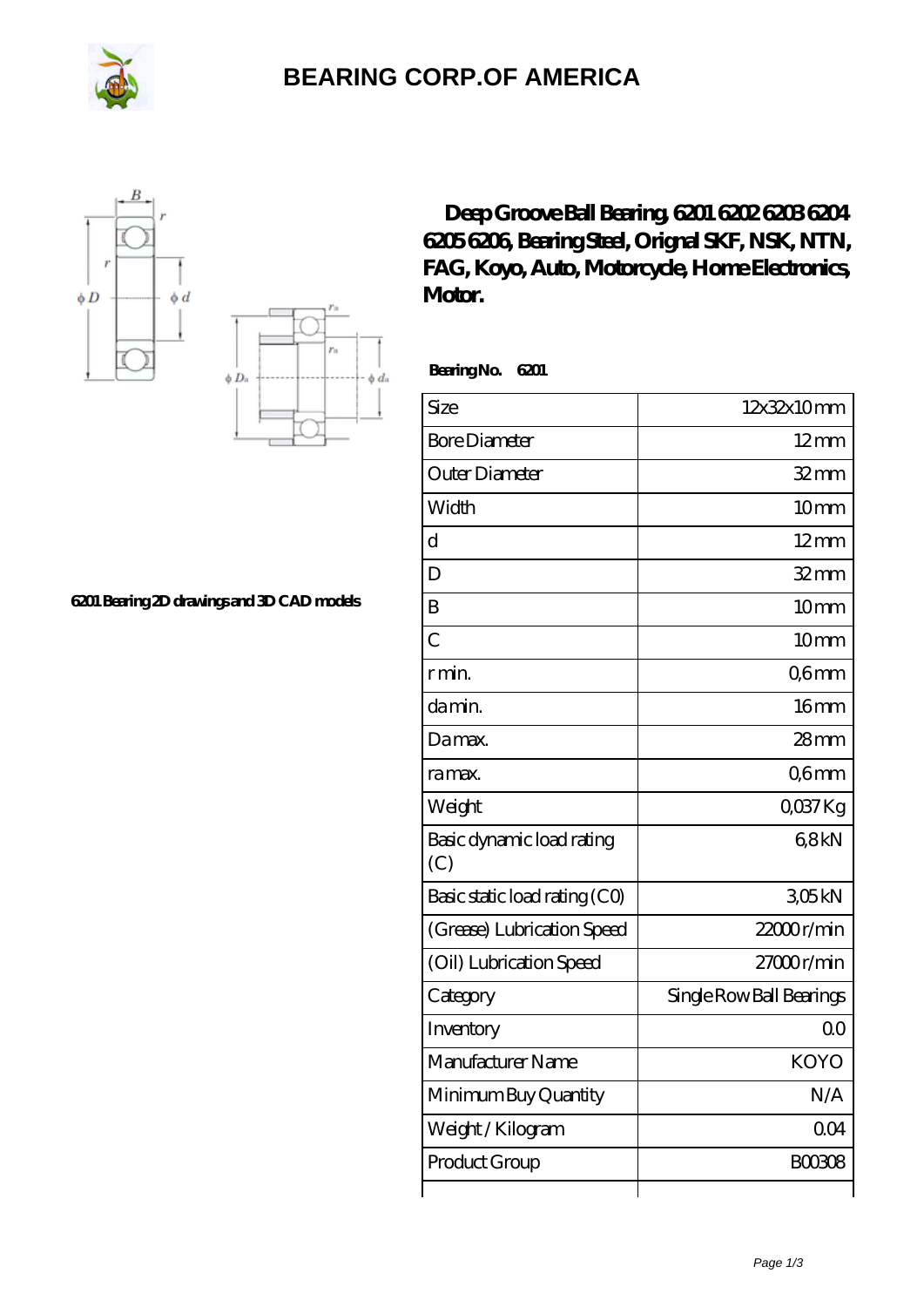

## **[BEARING CORP.OF AMERICA](https://www.freshmxnfood.com)**





**[6201 Bearing 2D drawings and 3D CAD models](https://www.freshmxnfood.com/pic-65271672.html)**

**[Deep Groove Ball Bearing, 6201 6202 6203 6204](https://www.freshmxnfood.com/koyo-6201-bearing/) [6205 6206, Bearing Steel, Orignal SKF, NSK, NTN,](https://www.freshmxnfood.com/koyo-6201-bearing/) [FAG, Koyo, Auto, Motorcycle, Home Electronics,](https://www.freshmxnfood.com/koyo-6201-bearing/) [Motor.](https://www.freshmxnfood.com/koyo-6201-bearing/)**

 **Bearing No. 6201**

| Size                             | 12x32x10mm               |
|----------------------------------|--------------------------|
| <b>Bore Diameter</b>             | $12$ mm                  |
| Outer Diameter                   | $32 \text{mm}$           |
| Width                            | 10mm                     |
| $\overline{\mathrm{d}}$          | $12 \text{mm}$           |
| D                                | $32$ mm                  |
| B                                | 10mm                     |
| $\overline{C}$                   | 10mm                     |
| r min.                           | Q6mm                     |
| da min.                          | 16 <sub>mm</sub>         |
| Da max.                          | 28 <sub>mm</sub>         |
| ra max.                          | Q6mm                     |
| Weight                           | QO37Kg                   |
| Basic dynamic load rating<br>(C) | 68kN                     |
| Basic static load rating (CO)    | 305kN                    |
| (Grease) Lubrication Speed       | 22000r/min               |
| (Oil) Lubrication Speed          | $27000$ r/min            |
| Category                         | Single Row Ball Bearings |
| Inventory                        | Q <sub>O</sub>           |
| Manufacturer Name                | <b>KOYO</b>              |
| Minimum Buy Quantity             | N/A                      |
| Weight/Kilogram                  | 004                      |
| Product Group                    | <b>BOO308</b>            |
|                                  |                          |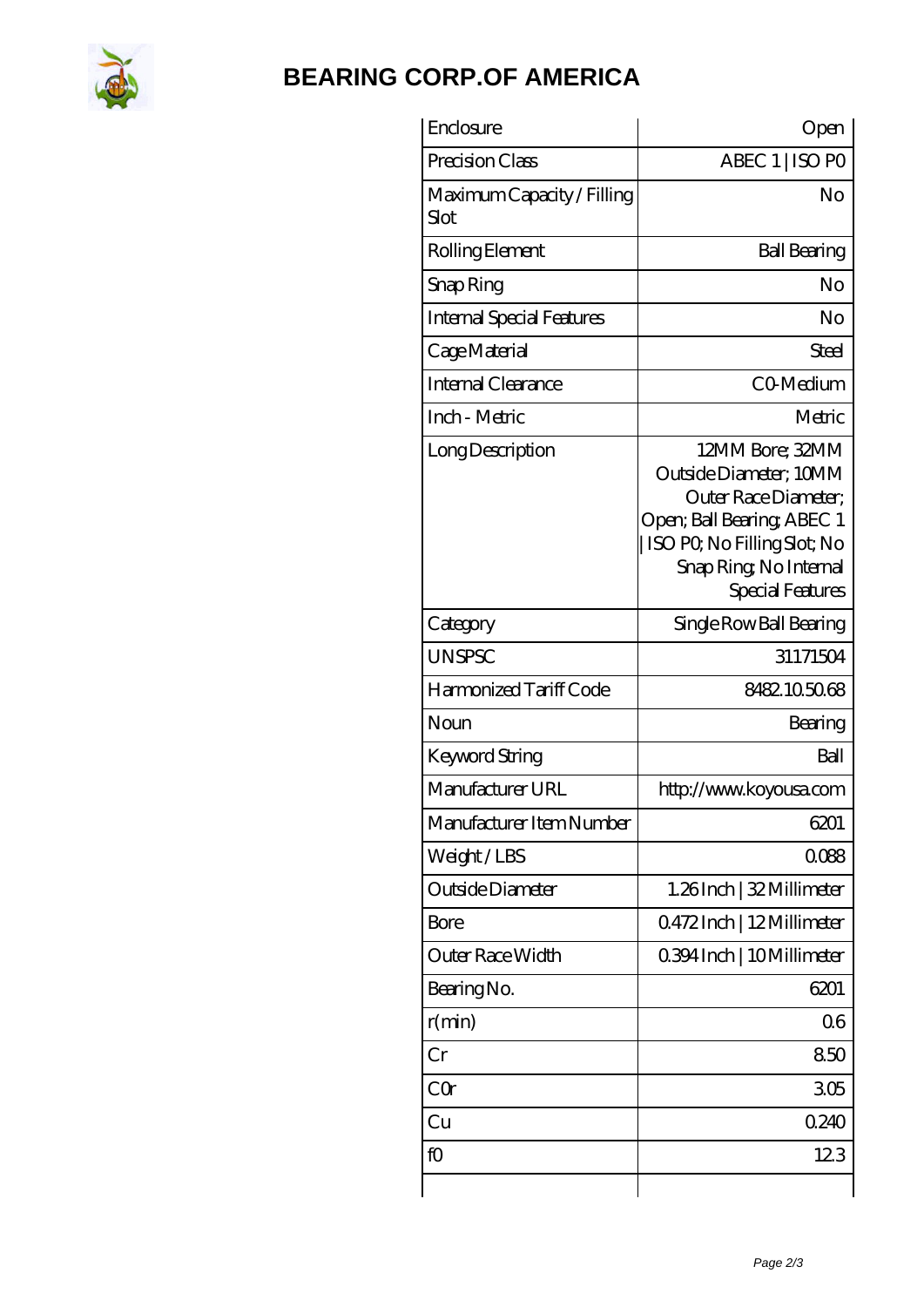

## **[BEARING CORP.OF AMERICA](https://www.freshmxnfood.com)**

| Enclosure                          | Open                                                                                                                                                                         |
|------------------------------------|------------------------------------------------------------------------------------------------------------------------------------------------------------------------------|
| Precision Class                    | ABEC 1   ISO PO                                                                                                                                                              |
| Maximum Capacity / Filling<br>Slot | No                                                                                                                                                                           |
| Rolling Element                    | <b>Ball Bearing</b>                                                                                                                                                          |
| Snap Ring                          | No                                                                                                                                                                           |
| <b>Internal Special Features</b>   | No                                                                                                                                                                           |
| Cage Material                      | Steel                                                                                                                                                                        |
| Internal Clearance                 | CO-Medium                                                                                                                                                                    |
| Inch - Metric                      | Metric                                                                                                                                                                       |
| Long Description                   | 12MM Bore; 32MM<br>Outside Diameter: 10MM<br>Outer Race Diameter;<br>Open; Ball Bearing; ABEC 1<br>ISO PO, No Filling Slot; No<br>Snap Ring, No Internal<br>Special Features |
| Category                           | Single Row Ball Bearing                                                                                                                                                      |
| <b>UNSPSC</b>                      | 31171504                                                                                                                                                                     |
| Harmonized Tariff Code             | 8482105068                                                                                                                                                                   |
| Noun                               | Bearing                                                                                                                                                                      |
| Keyword String                     | Ball                                                                                                                                                                         |
| Manufacturer URL                   | http://www.koyousa.com                                                                                                                                                       |
| Manufacturer Item Number           | 6201                                                                                                                                                                         |
| Weight/LBS                         | 0088                                                                                                                                                                         |
| Outside Diameter                   | 1.26Inch   32 Millimeter                                                                                                                                                     |
| Bore                               | 0.472Inch   12Millimeter                                                                                                                                                     |
| Outer Race Width                   | 0.394 Inch   10 Millimeter                                                                                                                                                   |
| Bearing No.                        | 6201                                                                                                                                                                         |
| r(min)                             | 06                                                                                                                                                                           |
| Cr                                 | 850                                                                                                                                                                          |
| CQ                                 | 305                                                                                                                                                                          |
| Cu                                 | 0.240                                                                                                                                                                        |
| fO                                 | 123                                                                                                                                                                          |
|                                    |                                                                                                                                                                              |